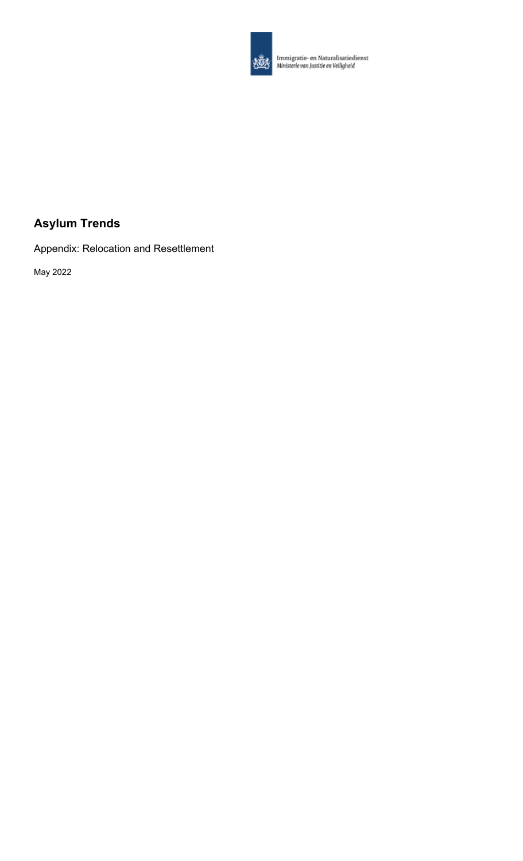

**Alle Immigratie- en Naturalisatiedienst**<br>Alle Ministerie van Justitie en Veiligheid

# **Asylum Trends**

Appendix: Relocation and Resettlement

May 2022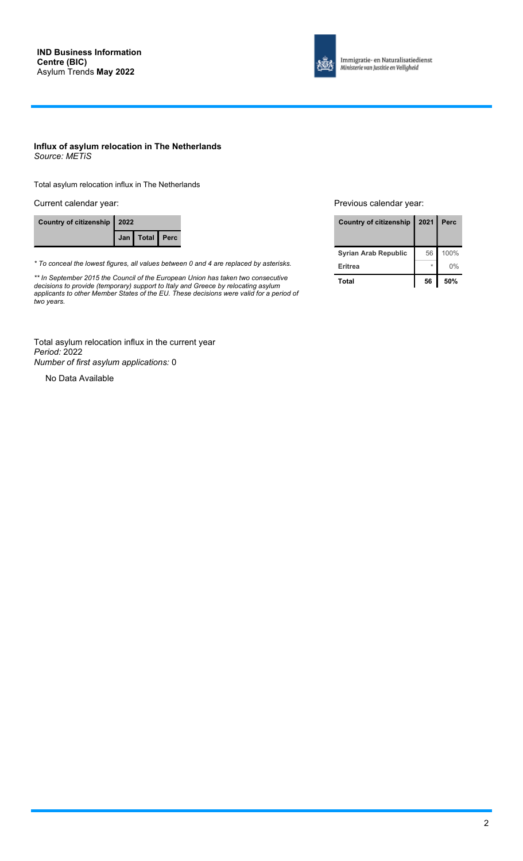

Immigratie- en Naturalisatiedienst Ministerie van Justitie en Veiligheid

### **Influx of asylum relocation in The Netherlands** *Source: METiS*

Total asylum relocation influx in The Netherlands

Current calendar year: **Previous calendar year:** Previous calendar year:

| Country of citizenship   2022 |  |                    |  |
|-------------------------------|--|--------------------|--|
|                               |  | Jan   Total   Perc |  |

*\* To conceal the lowest figures, all values between 0 and 4 are replaced by asterisks.*

*\*\* In September 2015 the Council of the European Union has taken two consecutive decisions to provide (temporary) support to Italy and Greece by relocating asylum applicants to other Member States of the EU. These decisions were valid for a period of two years.*

| Country of citizenship   2021   Perc |    |      |
|--------------------------------------|----|------|
| <b>Syrian Arab Republic</b>          | 56 | 100% |
| <b>Eritrea</b>                       |    | 0%   |
| Total                                | 56 | 50%  |

Total asylum relocation influx in the current year *Period:* 2022 *Number of first asylum applications:* 0

No Data Available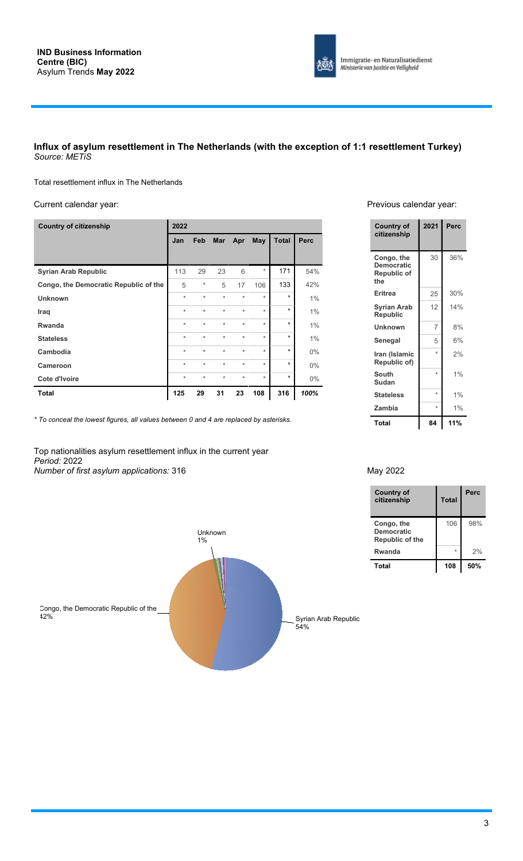

### **Influx of asylum resettlement in The Netherlands (with the exception of 1:1 resettlement Turkey)** *Source: METiS*

Total resettlement influx in The Netherlands

### Current calendar year: **Previous calendar year:** Previous calendar year:

| <b>Country of citizenship</b>         | 2022    |          |         |            |          |              |       |
|---------------------------------------|---------|----------|---------|------------|----------|--------------|-------|
|                                       | Jan     | Feb      | Mar     | Apr        | May      | <b>Total</b> | Perc  |
|                                       |         |          |         |            |          |              |       |
| <b>Syrian Arab Republic</b>           | 113     | 29       | 23      | 6          | $^\star$ | 171          | 54%   |
| Congo, the Democratic Republic of the | 5       | $^\star$ | 5       | 17         | 106      | 133          | 42%   |
| <b>Unknown</b>                        | $\star$ | $\star$  | $\star$ | $^{\star}$ | $\star$  | $\star$      | 1%    |
| Iraq                                  | $\star$ | $\star$  | $\star$ | $^{\star}$ | $\star$  | $\star$      | 1%    |
| <b>Rwanda</b>                         | $\star$ | $\star$  | $\star$ | $^{\star}$ | $\star$  | $\star$      | 1%    |
| <b>Stateless</b>                      | $\star$ | $\star$  | $\star$ | $^{\star}$ | $\star$  | $\star$      | 1%    |
| Cambodia                              | $\star$ | $\star$  | $\star$ | $^{\star}$ | $\star$  | $\star$      | $0\%$ |
| <b>Cameroon</b>                       | $\star$ | $\star$  | $\star$ | $^{\star}$ | $\star$  | $\star$      | $0\%$ |
| Cote d'Ivoire                         | $\star$ | $\star$  | $\star$ | $^{\star}$ | $\star$  | $\star$      | $0\%$ |
| Total                                 | 125     | 29       | 31      | 23         | 108      | 316          | 100%  |

| <b>Country of</b><br>citizenship                      | 2021    | Perc |
|-------------------------------------------------------|---------|------|
| Congo, the<br><b>Democratic</b><br>Republic of<br>the | 30      | 36%  |
| Eritrea                                               | 25      | 30%  |
| <b>Syrian Arab</b><br>Republic                        | 12      | 14%  |
| Unknown                                               | 7       | 8%   |
| Senegal                                               | 5       | 6%   |
| Iran (Islamic<br>Republic of)                         | ÷       | 2%   |
| South<br>Sudan                                        | $\star$ | 1%   |
| <b>Stateless</b>                                      | $\star$ | 1%   |
| Zambia                                                | $\star$ | 1%   |
| Total                                                 | 84      | 11%  |

*\* To conceal the lowest figures, all values between 0 and 4 are replaced by asterisks.*

Unknown 1%

Top nationalities asylum resettlement influx in the current year *Period:* 2022 *Number of first asylum applications:* 316 May 2022

| <b>Country of</b><br>citizenship                   | <b>Total</b> | Perc |
|----------------------------------------------------|--------------|------|
| Congo, the<br><b>Democratic</b><br>Republic of the | 106          | 98%  |
| Rwanda                                             | ÷            | 2%   |
| Total                                              | 108          | 50%  |

Syrian Arab Republic<br>54%

Congo, the Democratic Republic of the 42% Syrian Arab Republic